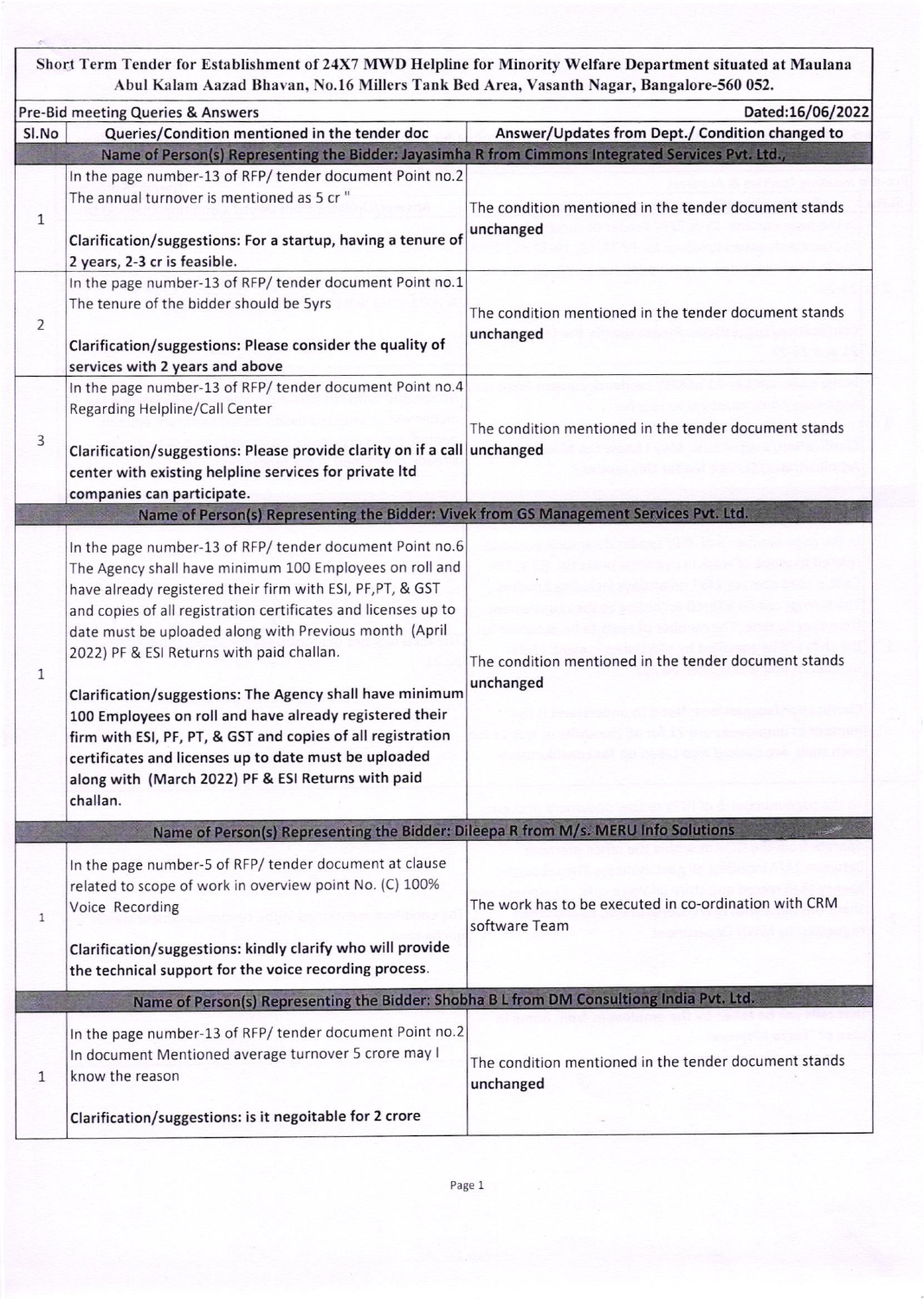Short Term Tender for Establishment of 24X7 MWD Helpline for Minority Welfare Department situated at Maulana Abul Kalam Aazad Bhavan, No.16 Millers Tank Bed Area, Vasanth Nagar, Bangalore-560 052.

|                | Pre-Bid meeting Queries & Answers                                                                                                                                                                                                                                                                                                                                                                                                                                                                                                                                                                                                                                           | Dated:16/06/2022                                                       |
|----------------|-----------------------------------------------------------------------------------------------------------------------------------------------------------------------------------------------------------------------------------------------------------------------------------------------------------------------------------------------------------------------------------------------------------------------------------------------------------------------------------------------------------------------------------------------------------------------------------------------------------------------------------------------------------------------------|------------------------------------------------------------------------|
| SI.No          | Queries/Condition mentioned in the tender doc                                                                                                                                                                                                                                                                                                                                                                                                                                                                                                                                                                                                                               | Answer/Updates from Dept./ Condition changed to                        |
|                | Name of Person(s) Representing the Bidder: Jayasimha R from Cimmons Integrated Services Pvt. Ltd.,                                                                                                                                                                                                                                                                                                                                                                                                                                                                                                                                                                          |                                                                        |
| $\mathbf{1}$   | In the page number-13 of RFP/ tender document Point no.2<br>The annual turnover is mentioned as 5 cr "<br>Clarification/suggestions: For a startup, having a tenure of<br>2 years, 2-3 cr is feasible.                                                                                                                                                                                                                                                                                                                                                                                                                                                                      | The condition mentioned in the tender document stands<br>unchanged     |
| $\overline{2}$ | In the page number-13 of RFP/ tender document Point no.1<br>The tenure of the bidder should be 5yrs<br>Clarification/suggestions: Please consider the quality of<br>services with 2 years and above                                                                                                                                                                                                                                                                                                                                                                                                                                                                         | The condition mentioned in the tender document stands<br>unchanged     |
| 3              | In the page number-13 of RFP/ tender document Point no.4<br>Regarding Helpline/Call Center<br>Clarification/suggestions: Please provide clarity on if a call unchanged<br>center with existing helpline services for private ltd<br>companies can participate.                                                                                                                                                                                                                                                                                                                                                                                                              | The condition mentioned in the tender document stands                  |
|                | Name of Person(s) Representing the Bidder: Vivek from GS Management Services Pvt. Ltd.                                                                                                                                                                                                                                                                                                                                                                                                                                                                                                                                                                                      |                                                                        |
| 1              | In the page number-13 of RFP/ tender document Point no.6<br>The Agency shall have minimum 100 Employees on roll and<br>have already registered their firm with ESI, PF, PT, & GST<br>and copies of all registration certificates and licenses up to<br>date must be uploaded along with Previous month (April<br>2022) PF & ESI Returns with paid challan.<br>Clarification/suggestions: The Agency shall have minimum<br>100 Employees on roll and have already registered their<br>firm with ESI, PF, PT, & GST and copies of all registration<br>certificates and licenses up to date must be uploaded<br>along with (March 2022) PF & ESI Returns with paid<br>challan. | The condition mentioned in the tender document stands<br>unchanged     |
|                | Name of Person(s) Representing the Bidder: Dileepa R from M/s. MERU Info Solutions                                                                                                                                                                                                                                                                                                                                                                                                                                                                                                                                                                                          |                                                                        |
| $\mathbf{1}$   | In the page number-5 of RFP/ tender document at clause<br>related to scope of work in overview point No. (C) 100%<br>Voice Recording<br>Clarification/suggestions: kindly clarify who will provide<br>the technical support for the voice recording process.                                                                                                                                                                                                                                                                                                                                                                                                                | The work has to be executed in co-ordination with CRM<br>software Team |
|                | Name of Person(s) Representing the Bidder: Shobha B L from DM Consultiong India Pvt. Ltd.                                                                                                                                                                                                                                                                                                                                                                                                                                                                                                                                                                                   |                                                                        |
| 1              | In the page number-13 of RFP/ tender document Point no.2<br>In document Mentioned average turnover 5 crore may I<br>know the reason<br>Clarification/suggestions: is it negoitable for 2 crore                                                                                                                                                                                                                                                                                                                                                                                                                                                                              | The condition mentioned in the tender document stands<br>unchanged     |
|                |                                                                                                                                                                                                                                                                                                                                                                                                                                                                                                                                                                                                                                                                             |                                                                        |